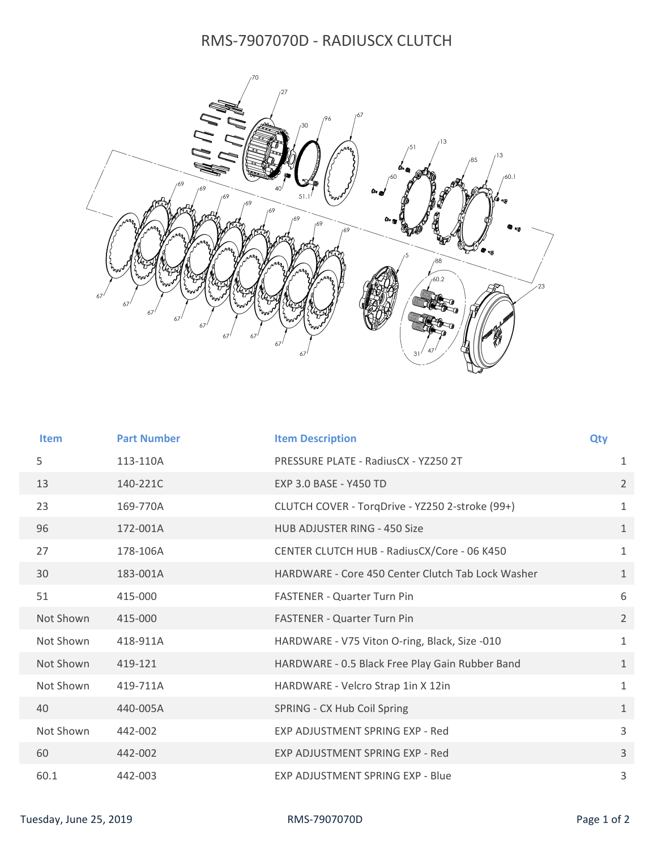## RMS-7907070D - RADIUSCX CLUTCH



| <b>Item</b> | <b>Part Number</b> | <b>Item Description</b>                           | Qty            |
|-------------|--------------------|---------------------------------------------------|----------------|
| 5           | 113-110A           | PRESSURE PLATE - RadiusCX - YZ250 2T              | $\mathbf{1}$   |
| 13          | 140-221C           | EXP 3.0 BASE - Y450 TD                            | $\overline{2}$ |
| 23          | 169-770A           | CLUTCH COVER - TorqDrive - YZ250 2-stroke (99+)   | $\mathbf{1}$   |
| 96          | 172-001A           | HUB ADJUSTER RING - 450 Size                      | $\mathbf{1}$   |
| 27          | 178-106A           | CENTER CLUTCH HUB - RadiusCX/Core - 06 K450       | $\mathbf{1}$   |
| 30          | 183-001A           | HARDWARE - Core 450 Center Clutch Tab Lock Washer | $\mathbf{1}$   |
| 51          | 415-000            | <b>FASTENER - Quarter Turn Pin</b>                | 6              |
| Not Shown   | 415-000            | <b>FASTENER - Quarter Turn Pin</b>                | $\overline{2}$ |
| Not Shown   | 418-911A           | HARDWARE - V75 Viton O-ring, Black, Size -010     | $\mathbf{1}$   |
| Not Shown   | 419-121            | HARDWARE - 0.5 Black Free Play Gain Rubber Band   | $\mathbf{1}$   |
| Not Shown   | 419-711A           | HARDWARE - Velcro Strap 1in X 12in                | $\mathbf{1}$   |
| 40          | 440-005A           | SPRING - CX Hub Coil Spring                       | $\mathbf{1}$   |
| Not Shown   | 442-002            | EXP ADJUSTMENT SPRING EXP - Red                   | 3              |
| 60          | 442-002            | EXP ADJUSTMENT SPRING EXP - Red                   | 3              |
| 60.1        | 442-003            | EXP ADJUSTMENT SPRING EXP - Blue                  | 3              |